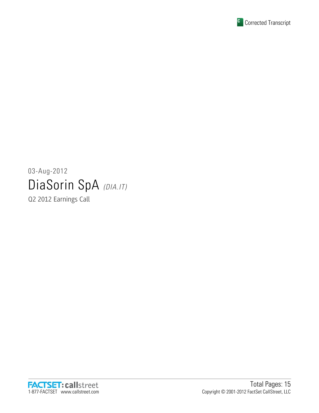

# 03-Aug-2012 DiaSorin SpA (DIA.IT)

Q2 2012 Earnings Call

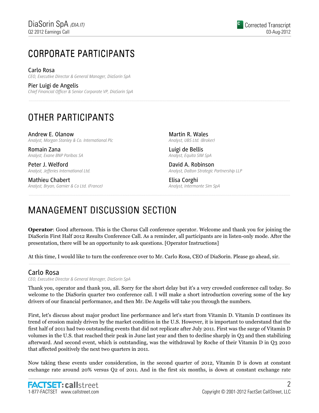# CORPORATE PARTICIPANTS CORPORATE PARTICIPANTS

Carlo Rosa CEO, Executive Director & General Manager, DiaSorin SpA

Pier Luigi de Angelis Chief Financial Officer & Senior Corporate VP, DiaSorin SpA

# OTHER PARTICIPANTS

Andrew E. Olanow Analyst, Morgan Stanley & Co. International Plc

Romain Zana Analyst, Exane BNP Paribas SA

Peter J. Welford Analyst, Jefferies International Ltd.

Mathieu Chabert Analyst, Bryan, Garnier & Co Ltd. (France)

Martin R. Wales Analyst, UBS Ltd. (Broker)

Luigi de Bellis Analyst, Equita SIM SpA

David A. Robinson Analyst, Dalton Strategic Partnership LLP

Elisa Corghi Analyst, Intermonte Sim SpA

# MANAGEMENT DISCUSSION SECTION

Operator: Good afternoon. This is the Chorus Call conference operator. Welcome and thank you for joining the DiaSorin First Half 2012 Results Conference Call. As a reminder, all participants are in listen-only mode. After the presentation, there will be an opportunity to ask questions. [Operator Instructions]

At this time, I would like to turn the conference over to Mr. Carlo Rosa, CEO of DiaSorin. Please go ahead, sir.

# Carlo Rosa

CEO, Executive Director & General Manager, DiaSorin SpA

Thank you, operator and thank you, all. Sorry for the short delay but it's a very crowded conference call today. So welcome to the DiaSorin quarter two conference call. I will make a short introduction covering some of the key drivers of our financial performance, and then Mr. De Angelis will take you through the numbers.

First, let's discuss about major product line performance and let's start from Vitamin D. Vitamin D continues its trend of erosion mainly driven by the market condition in the U.S. However, it is important to understand that the first half of 2011 had two outstanding events that did not replicate after July 2011. First was the surge of Vitamin D volumes in the U.S. that reached their peak in June last year and then to decline sharply in Q3 and then stabilizing afterward. And second event, which is outstanding, was the withdrawal by Roche of their Vitamin D in Q3 2010 that affected positively the next two quarters in 2011.

Now taking these events under consideration, in the second quarter of 2012, Vitamin D is down at constant exchange rate around 20% versus Q2 of 2011. And in the first six months, is down at constant exchange rate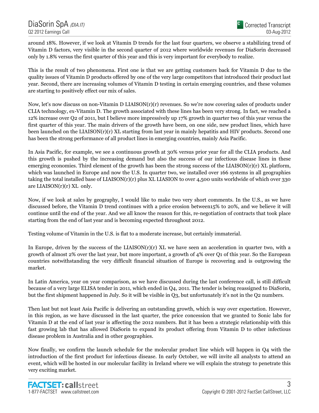around 18%. However, if we look at Vitamin D trends for the last four quarters, we observe a stabilizing trend of Vitamin D factors, very visible in the second quarter of 2012 where worldwide revenues for DiaSorin decreased only by 1.8% versus the first quarter of this year and this is very important for everybody to realize.

This is the result of two phenomena. First one is that we are getting customers back for Vitamin D due to the quality issues of Vitamin D products offered by one of the very large competitors that introduced their product last year. Second, there are increasing volumes of Vitamin D testing in certain emerging countries, and these volumes are starting to positively effect our mix of sales.

Now, let's now discuss on non-Vitamin D LIAISON(r)(r) revenues. So we're now covering sales of products under CLIA technology, ex-Vitamin D. The growth associated with these lines has been very strong. In fact, we reached a 12% increase over Q2 of 2011, but I believe more impressively up 17% growth in quarter two of this year versus the first quarter of this year. The main drivers of the growth have been, on one side, new product lines, which have been launched on the LIAISON(r)(r) XL starting from last year in mainly hepatitis and HIV products. Second one has been the strong performance of all product lines in emerging countries, mainly Asia Pacific.

In Asia Pacific, for example, we see a continuous growth at 30% versus prior year for all the CLIA products. And this growth is pushed by the increasing demand but also the success of our infectious disease lines in these emerging economies. Third element of the growth has been the strong success of the LIAISON $(r)(r)$  XL platform, which was launched in Europe and now the U.S. In quarter two, we installed over 166 systems in all geographies taking the total installed base of LIAISON(r)(r) plus XL LIASION to over 4,500 units worldwide of which over 330 are LIAISON(r)(r) XL only.

Now, if we look at sales by geography, I would like to make two very short comments. In the U.S., as we have discussed before, the Vitamin D trend continues with a price erosion between15% to 20%, and we believe it will continue until the end of the year. And we all know the reason for this, re-negotiation of contracts that took place starting from the end of last year and is becoming expected throughout 2012.

Testing volume of Vitamin in the U.S. is flat to a moderate increase, but certainly immaterial.

In Europe, driven by the success of the LIAISON(r)(r) XL we have seen an acceleration in quarter two, with a growth of almost 2% over the last year, but more important, a growth of 4% over Q1 of this year. So the European countries notwithstanding the very difficult financial situation of Europe is recovering and is outgrowing the market.

In Latin America, year on year comparison, as we have discussed during the last conference call, is still difficult because of a very large ELISA tender in 2011, which ended in Q4, 2011. The tender is being reassigned to DiaSorin, but the first shipment happened in July. So it will be visible in Q3, but unfortunately it's not in the Q2 numbers.

Then last but not least Asia Pacific is delivering an outstanding growth, which is way over expectation. However, in this region, as we have discussed in the last quarter, the price concession that we granted to Sonic labs for Vitamin D at the end of last year is affecting the 2012 numbers. But it has been a strategic relationship with this fast growing lab that has allowed DiaSorin to expand its product offering from Vitamin D to other infectious disease problem in Australia and in other geographies.

Now finally, we confirm the launch schedule for the molecular product line which will happen in Q4 with the introduction of the first product for infectious disease. In early October, we will invite all analysts to attend an event, which will be hosted in our molecular facility in Ireland where we will explain the strategy to penetrate this very exciting market.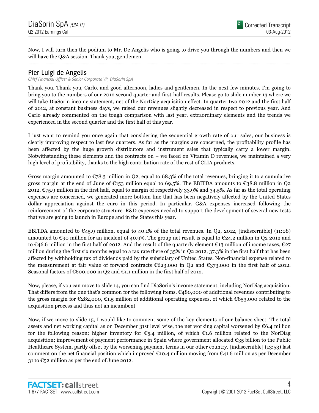Now, I will turn then the podium to Mr. De Angelis who is going to drive you through the numbers and then we will have the Q&A session. Thank you, gentlemen.

# Pier Luigi de Angelis

Chief Financial Officer & Senior Corporate VP, DiaSorin SpA

Thank you. Thank you, Carlo, and good afternoon, ladies and gentlemen. In the next few minutes, I'm going to bring you to the numbers of our 2012 second quarter and first-half results. Please go to slide number 13 where we will take DiaSorin income statement, net of the NorDiag acquisition effect. In quarter two 2012 and the first half of 2012, at constant business days, we raised our revenues slightly decreased in respect to previous year. And Carlo already commented on the tough comparison with last year, extraordinary elements and the trends we experienced in the second quarter and the first half of this year.

I just want to remind you once again that considering the sequential growth rate of our sales, our business is clearly improving respect to last few quarters. As far as the margins are concerned, the profitability profile has been affected by the huge growth distributors and instrument sales that typically carry a lower margin. Notwithstanding these elements and the contracts on – we faced on Vitamin D revenues, we maintained a very high level of profitability, thanks to the high contribution rate of the rest of CLIA products.

Gross margin amounted to  $\mathfrak{C}78.3$  million in Q2, equal to 68.3% of the total revenues, bringing it to a cumulative gross margin at the end of June of  $\epsilon$ 153 million equal to 69.5%. The EBITDA amounts to  $\epsilon$ 38.8 million in Q2 2012,  $\mathcal{C}_75.9$  million in the first half, equal to margin of respectively 33.9% and 34.5%. As far as the total operating expenses are concerned, we generated more bottom line that has been negatively affected by the United States dollar appreciation against the euro in this period. In particular, G&A expenses increased following the reinforcement of the corporate structure. R&D expenses needed to support the development of several new tests that we are going to launch in Europe and in the States this year.

EBITDA amounted to  $\mathfrak{C}_4$ 5.9 million, equal to 40.1% of the total revenues. In Q2, 2012, [indiscernible] (11:08) amounted to  $\epsilon$ 90 million for an incident of 40.9%. The group net result is equal to  $\epsilon$ 24.2 million in Q2 2012 and to €46.6 million in the first half of 2012. And the result of the quarterly element €13 million of income taxes, €27 million during the first six months equal to a tax rate there of 35% in Q2 2012, 37.3% in the first half that has been affected by withholding tax of dividends paid by the subsidiary of United States. Non-financial expense related to the measurement at fair value of forward contracts  $\mathfrak{C}623,000$  in Q2 and  $\mathfrak{C}373,000$  in the first half of 2012. Seasonal factors of  $\epsilon$ 600,000 in Q2 and  $\epsilon$ 1.1 million in the first half of 2012.

Now, please, if you can move to slide 14, you can find DiaSorin's income statement, including NorDiag acquisition. That differs from the one that's common for the following items, €480,000 of additional revenues contributing to the gross margin for €282,000, €1.5 million of additional operating expenses, of which €853,000 related to the acquisition process and thus not an incumbent

Now, if we move to slide 15, I would like to comment some of the key elements of our balance sheet. The total assets and net working capital as on December 31st level wise, the net working capital worsened by  $\mathfrak{C}6.4$  million for the following reason; higher inventory for  $\mathfrak{C}_{5,4}$  million, of which  $\mathfrak{C}_{1,6}$  million related to the NorDiag acquisition; improvement of payment performance in Spain where government allocated  $\epsilon_{35}$  billion to the Public Healthcare System, partly offset by the worsening payment terms in our other country. [indiscernible] (13:53) last comment on the net financial position which improved  $\epsilon$ 10.4 million moving from  $\epsilon$ 41.6 million as per December 31 to  $\mathfrak{C}_5$ 2 million as per the end of June 2012.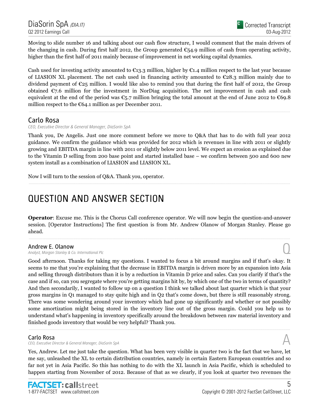Moving to slide number 16 and talking about our cash flow structure, I would comment that the main drivers of the changing in cash. During first half 2012, the Group generated  $\epsilon_{54.9}$  million of cash from operating activity, higher than the first half of 2011 mainly because of improvement in net working capital dynamics.

Cash used for investing activity amounted to  $\epsilon_{13.3}$  million, higher by  $\epsilon_{1.4}$  million respect to the last year because of LIASION XL placement. The net cash used in financing activity amounted to  $\mathfrak{C}28.3$  million mainly due to dividend payment of  $\mathfrak{C}25$  million. I would like also to remind you that during the first half of 2012, the Group obtained  $\epsilon$ 7.6 million for the investment in NorDiag acquisition. The net improvement in cash and cash equivalent at the end of the period was  $\epsilon_{5.7}$  million bringing the total amount at the end of June 2012 to  $\epsilon$ 69.8 million respect to the  $€64.1$  million as per December 2011.

## Carlo Rosa

CEO, Executive Director & General Manager, DiaSorin SpA

Thank you, De Angelis. Just one more comment before we move to Q&A that has to do with full year 2012 guidance. We confirm the guidance which was provided for 2012 which is revenues in line with 2011 or slightly growing and EBITDA margin in line with 2011 or slightly below 2011 level. We expect an erosion as explained due to the Vitamin D selling from 200 base point and started installed base – we confirm between 500 and 600 new system install as a combination of LIASION and LIASION XL.

Now I will turn to the session of Q&A. Thank you, operator.

# QUESTION AND ANSWER SECTION QUESTION AND ANSWER

Operator: Excuse me. This is the Chorus Call conference operator. We will now begin the question-and-answer session. [Operator Instructions] The first question is from Mr. Andrew Olanow of Morgan Stanley. Please go ahead.

### Andrew E. Olanow

Analyst, Morgan Stanley & Co. International Plc Q

Good afternoon. Thanks for taking my questions. I wanted to focus a bit around margins and if that's okay. It seems to me that you're explaining that the decrease in EBITDA margin is driven more by an expansion into Asia and selling through distributors than it is by a reduction in Vitamin D price and sales. Can you clarify if that's the case and if so, can you segregate where you're getting margins hit by, by which one of the two in terms of quantity? And then secondarily, I wanted to follow up on a question I think we talked about last quarter which is that your gross margins in Q1 managed to stay quite high and in Q2 that's come down, but there is still reasonably strong. There was some wondering around your inventory which had gone up significantly and whether or not possibly some amortization might being stored in the inventory line out of the gross margin. Could you help us to understand what's happening in inventory specifically around the breakdown between raw material inventory and finished goods inventory that would be very helpful? Thank you.

### Carlo Rosa

CEO, Executive Director & General Manager, DiaSorin SpA

Yes, Andrew. Let me just take the question. What has been very visible in quarter two is the fact that we have, let me say, unleashed the XL to certain distribution countries, namely in certain Eastern European countries and so far not yet in Asia Pacific. So this has nothing to do with the XL launch in Asia Pacific, which is scheduled to happen starting from November of 2012. Because of that as we clearly, if you look at quarter two revenues the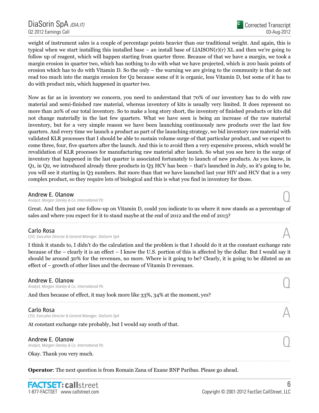weight of instrument sales is a couple of percentage points heavier than our traditional weight. And again, this is typical when we start installing this installed base – an install base of  $LIASON(r)(r)$  XL and then we're going to follow up of reagent, which will happen starting from quarter three. Because of that we have a margin, we took a margin erosion in quarter two, which has nothing to do with what we have projected, which is 200 basis points of erosion which has to do with Vitamin D. So the only – the warning we are giving to the community is that do not read too much into the margin erosion for Q2 because some of it is organic, less Vitamin D, but some of it has to do with product mix, which happened in quarter two.

Now as far as in inventory we concern, you need to understand that 70% of our inventory has to do with raw material and semi-finished raw material, whereas inventory of kits is usually very limited. It does represent no more than 20% of our total inventory. So to make a long story short, the inventory of finished products or kits did not change materially in the last few quarters. What we have seen is being an increase of the raw material inventory, but for a very simple reason we have been launching continuously new products over the last few quarters. And every time we launch a product as part of the launching strategy, we bid inventory raw material with validated KLR processes that I should be able to sustain volume surge of that particular product, and we expect to come three, four, five quarters after the launch. And this is to avoid then a very expensive process, which would be revalidation of KLR processes for manufacturing raw material after launch. So what you see here in the surge of inventory that happened in the last quarter is associated fortunately to launch of new products. As you know, in Q1, in Q2, we introduced already three products in Q3 HCV has been – that's launched in July, so it's going to be, you will see it starting in Q3 numbers. But more than that we have launched last year HIV and HCV that is a very complex product, so they require lots of biological and this is what you find in inventory for those.

### Andrew E. Olanow

Analyst, Morgan Stanley & Co. International Plc

Great. And then just one follow-up on Vitamin D, could you indicate to us where it now stands as a percentage of sales and where you expect for it to stand maybe at the end of 2012 and the end of 2013?

### Carlo Rosa

CEO, Executive Director & General Manager, DiaSorin SpA

I think it stands to, I didn't do the calculation and the problem is that I should do it at the constant exchange rate because of the – clearly it is an effect – I know the U.S. portion of this is affected by the dollar. But I would say it should be around 30% for the revenues, no more. Where is it going to be? Clearly, it is going to be diluted as an effect of – growth of other lines and the decrease of Vitamin D revenues.

#### Andrew E. Olanow

Analyst, Morgan Stanley & Co. International Plc

And then because of effect, it may look more like 33%, 34% at the moment, yes?

#### Carlo Rosa

CEO, Executive Director & General Manager, DiaSorin SpA

At constant exchange rate probably, but I would say south of that.

**Andrew E. Olanow**<br>Analyst, Morgan Stanley & Co. International Plc Andrew E. Olanow<br>Analyst, Morgan Stanley & Co. International Plc  $\bigodot$ 

Okay. Thank you very much.

Operator: The next question is from Romain Zana of Exane BNP Paribas. Please go ahead.

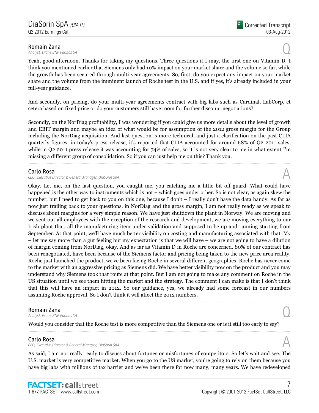**Romain Zana**<br>Analyst, Exane BNP Paribas SA **Romain Zana**<br>Analyst, Exane BNP Paribas SA  $\bigodot$ 

Yeah, good afternoon. Thanks for taking my questions. Three questions if I may, the first one on Vitamin D. I think you mentioned earlier that Siemens only had 10% impact on your market share and the volume so far, while the growth has been secured through multi-year agreements. So, first, do you expect any impact on your market share and the volume from the imminent launch of Roche test in the U.S. and if yes, it's already included in your full-year guidance.

And secondly, on pricing, do your multi-year agreements contract with big labs such as Cardinal, LabCorp, et cetera based on fixed price or do your customers still have room for further discount negotiations?

Secondly, on the NorDiag profitability, I was wondering if you could give us more details about the level of growth and EBIT margin and maybe an idea of what would be for assumption of the 2012 gross margin for the Group including the NorDiag acquisition. And last question is more technical, and just a clarification on the past CLIA quarterly figures, in today's press release, it's reported that CLIA accounted for around 68% of Q2 2011 sales, while in Q2 2011 press release it was accounting for 74% of sales, so it is not very clear to me in what extent I'm missing a different group of consolidation. So if you can just help me on this? Thank you.

#### Carlo Rosa

CEO, Executive Director & General Manager, DiaSorin SpA

Okay. Let me, on the last question, you caught me, you catching me a little bit off guard. What could have happened is the other way to instruments which is not – which goes under other. So is not clear, as again skew the number, but I need to get back to you on this one, because I don't – I really don't have the data handy. As far as now just trailing back to your questions, in NorDiag and the gross margin, I am not really ready as we speak to discuss about margins for a very simple reason. We have just shutdown the plant in Norway. We are moving and we sent out all employees with the exception of the research and development, we are moving everything to our Irish plant that, all the manufacturing item under validation and supposed to be up and running starting from September. At that point, we'll have much better visibility on costing and manufacturing associated with that. My – let me say more than a gut feeling but my expectation is that we will have – we are not going to have a dilution of margin coming from NorDiag, okay. And as far as Vitamin D in Roche are concerned, 80% of our contract has been renegotiated, have been because of the Siemens factor and pricing being taken to the new price area reality. Roche just launched the product, we've been facing Roche in several different geographies. Roche has never come to the market with an aggressive pricing as Siemens did. We have better visibility now on the product and you may understand why Siemens took that route at that point. But I am not going to make any comment on Roche in the US situation until we see them hitting the market and the strategy. The comment I can make is that I don't think that this will have an impact in 2012. So our guidance, yes, we already had some forecast in our numbers assuming Roche approval. So I don't think it will affect the 2012 numbers.

**Romain Zana**<br>Analyst, Exane BNP Paribas SA **Romain Zana**<br>Analyst, Exane BNP Paribas SA  $\bigodot$ 

Would you consider that the Roche test is more competitive than the Siemens one or is it still too early to say?

### Carlo Rosa

**Carlo Rosa**<br>CEO, Executive Director & General Manager, DiaSorin SpA  $\mathcal{A}$ 

As said, I am not really ready to discuss about fortunes or misfortunes of competitors. So let's wait and see. The U.S. market is very competitive market. When you go to the US market, you're going to rely on them because you have big labs with millions of tax barrier and we've been there for now many, many years. We have redeveloped

......................................................................................................................................................................................................................................................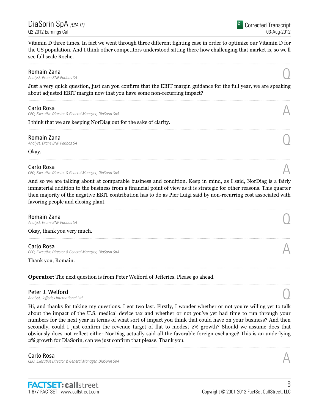Vitamin D three times. In fact we went through three different fighting case in order to optimize our Vitamin D for the US population. And I think other competitors understood sitting there how challenging that market is, so we'll see full scale Roche.

**Romain Zana**<br>Analyst, Exane BNP Paribas SA **Romain Zana**<br>Analyst, Exane BNP Paribas SA  $\bigodot$ 

Just a very quick question, just can you confirm that the EBIT margin guidance for the full year, we are speaking about adjusted EBIT margin now that you have some non-recurring impact?

......................................................................................................................................................................................................................................................

### Carlo Rosa

CEO, Executive Director & General Manager, DiaSorin SpA

I think that we are keeping NorDiag out for the sake of clarity.

**Romain Zana**<br>Analyst, Exane BNP Paribas SA **Romain Zana**<br>Analyst, Exane BNP Paribas SA  $\bigodot$ 

Okay.

### Carlo Rosa

CEO, Executive Director & General Manager, DiaSorin SpA

And so we are talking about at comparable business and condition. Keep in mind, as I said, NorDiag is a fairly immaterial addition to the business from a financial point of view as it is strategic for other reasons. This quarter then majority of the negative EBIT contribution has to do as Pier Luigi said by non-recurring cost associated with favoring people and closing plant.

**Romain Zana**<br>Analyst, Exane BNP Paribas SA **Romain Zana**<br>Analyst, Exane BNP Paribas SA  $\bigodot$ 

Okay, thank you very much.

### Carlo Rosa

CEO, Executive Director & General Manager, DiaSorin SpA

Thank you, Romain.

Operator: The next question is from Peter Welford of Jefferies. Please go ahead.

Peter J. Welford<br>Analyst, Jefferies International Ltd. Peter J. Welford  $\bigcap_{\text{Analytic}.\text{A}\text{radius}$  is international Ltd.

Hi, and thanks for taking my questions. I got two last. Firstly, I wonder whether or not you're willing yet to talk about the impact of the U.S. medical device tax and whether or not you've yet had time to run through your numbers for the next year in terms of what sort of impact you think that could have on your business? And then secondly, could I just confirm the revenue target of flat to modest 2% growth? Should we assume does that obviously does not reflect either NorDiag actually said all the favorable foreign exchange? This is an underlying 2% growth for DiaSorin, can we just confirm that please. Thank you.

Carlo Rosa CEO, Executive Director & General Manager, DiaSorin SpA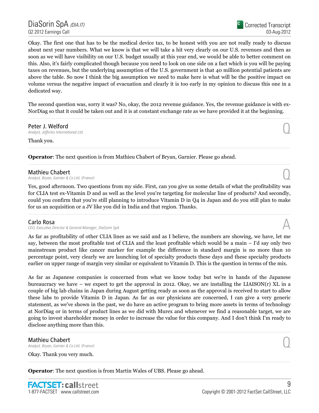Okay. The first one that has to be the medical device tax, to be honest with you are not really ready to discuss about next year numbers. What we know is that we will take a hit very clearly on our U.S. revenues and then as soon as we will have visibility on our U.S. budget usually at this year end, we would be able to better comment on this. Also, it's fairly complicated though because you need to look on one side on a fact which is you will be paying taxes on revenues, but the underlying assumption of the U.S. government is that 40 million potential patients are above the table. So now I think the big assumption we need to make here is what will be the positive impact on volume versus the negative impact of evacuation and clearly it is too early in my opinion to discuss this one in a dedicated way.

The second question was, sorry it was? No, okay, the 2012 revenue guidance. Yes, the revenue guidance is with ex-NorDiag so that it could be taken out and it is at constant exchange rate as we have provided it at the beginning.

# Peter J. Welford<br>Analyst, Jefferies International Ltd.

Peter J. Welford  $\bigcup_{\text{Analytic}(\text{A})}$  analyst, Jefferies International Ltd.

Thank you.

Operator: The next question is from Mathieu Chabert of Bryan, Garnier. Please go ahead.

**Mathieu Chabert**<br>Analyst, Bryan, Garnier & Co Ltd. (France) **Mathieu Chabert**  $\bigcap_{\text{Analytic},\text{Bryan},\text{Garnier }\& \text{Co Ltd. (France)}$ 

Yes, good afternoon. Two questions from my side. First, can you give us some details of what the profitability was for CLIA test ex-Vitamin D and as well as the level you're targeting for molecular line of products? And secondly, could you confirm that you're still planning to introduce Vitamin D in Q4 in Japan and do you still plan to make for us an acquisition or a JV like you did in India and that region. Thanks.

### Carlo Rosa

CEO, Executive Director & General Manager, DiaSorin SpA

As far as profitability of other CLIA lines as we said and as I believe, the numbers are showing, we have, let me say, between the most profitable test of CLIA and the least profitable which would be a main – I'd say only two mainstream product like cancer marker for example the difference in standard margin is no more than 10 percentage point, very clearly we are launching lot of specialty products these days and these specialty products earlier on upper range of margin very similar or equivalent to Vitamin D. This is the question in terms of the mix.

As far as Japanese companies is concerned from what we know today but we're in hands of the Japanese bureaucracy we have – we expect to get the approval in 2012. Okay, we are installing the LIAISON(r) XL in a couple of big lab chains in Japan during August getting ready as soon as the approval is received to start to allow these labs to provide Vitamin D in Japan. As far as our physicians are concerned, I can give a very generic statement, as we've shown in the past, we do have an active program to bring more assets in terms of technology at NorDiag or in terms of product lines as we did with Murex and whenever we find a reasonable target, we are going to invest shareholder money in order to increase the value for this company. And I don't think I'm ready to disclose anything more than this.

# **Mathieu Chabert**<br>Analyst, Bryan, Garnier & Co Ltd. (France) **Mathieu Chabert**  $\bigcap_{\text{Analytic},\text{Bryan},\text{Garnier }\& \text{Co Ltd. (France)}$

Okay. Thank you very much.

Operator: The next question is from Martin Wales of UBS. Please go ahead.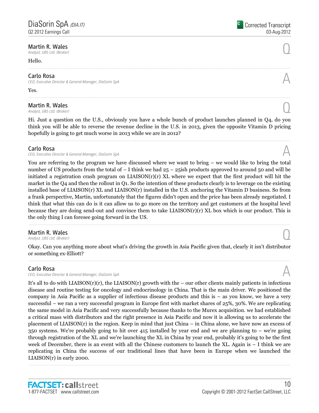# **Martin R. Wales**<br>Analyst, UBS Ltd. (Broker) **Martin R. Wales**  $\bigcirc$  **Q** analyst, UBS Ltd. (Broker)

#### Hello.

#### Carlo Rosa

CEO, Executive Director & General Manager, DiaSorin SpA

Yes.

# **Martin R. Wales**<br>Analyst, UBS Ltd. (Broker) **Martin R. Wales**  $\bigcirc$  **Q**  $\bigcirc$  **Q**  $\bigcirc$  **Q**  $\bigcirc$  **Q**  $\bigcirc$  **Q**  $\bigcirc$  *Analyst, UBS Ltd. (Broker)*  $\bigcirc$

Hi. Just a question on the U.S., obviously you have a whole bunch of product launches planned in Q4, do you think you will be able to reverse the revenue decline in the U.S. in 2013, given the opposite Vitamin D pricing hopefully is going to get much worse in 2013 while we are in 2012?

### Carlo Rosa

CEO, Executive Director & General Manager, DiaSorin SpA

You are referring to the program we have discussed where we want to bring – we would like to bring the total number of US products from the total of – I think we had  $25 - 25$ ish products approved to around 50 and will be initiated a registration crash program on LIAISON(r)(r) XL where we expect that the first product will hit the market in the Q4 and then the rollout in Q1. So the intention of these products clearly is to leverage on the existing installed base of LIAISON(r) XL and LIAISON(r) installed in the U.S. anchoring the Vitamin D business. So from a frank perspective, Martin, unfortunately that the figures didn't open and the price has been already negotiated. I think that what this can do is it can allow us to go more on the territory and get customers at the hospital level because they are doing send-out and convince them to take LIAISON $(r)(r)$  XL box which is our product. This is the only thing I can foresee going forward in the US.

# **Martin R. Wales**  $\bigcirc$  **Q** analyst, UBS Ltd. (Broker)

**Martin R. Wales**<br>Analyst, UBS Ltd. (Broker)

Okay. Can you anything more about what's driving the growth in Asia Pacific given that, clearly it isn't distributor or something ex-Elliott?

### Carlo Rosa

CEO, Executive Director & General Manager, DiaSorin SpA

It's all to do with LIAISON(r)(r), the LIAISON(r) growth with the – our other clients mainly patients in infectious disease and routine testing for oncology and endocrinology in China. That is the main driver. We positioned the company in Asia Pacific as a supplier of infectious disease products and this is – as you know, we have a very successful – we ran a very successful program in Europe first with market shares of 25%, 30%. We are replicating the same model in Asia Pacific and very successfully because thanks to the Murex acquisition. we had established a critical mass with distributors and the right presence in Asia Pacific and now it is allowing us to accelerate the placement of LIAISON(r) in the region. Keep in mind that just China – in China alone, we have now an excess of 350 systems. We're probably going to hit over 415 installed by year end and we are planning to – we're going through registration of the XL and we're launching the XL in China by year end, probably it's going to be the first week of December, there is an event with all the Chinese customers to launch the XL. Again is – I think we are replicating in China the success of our traditional lines that have been in Europe when we launched the LIAISON(r) in early 2000.

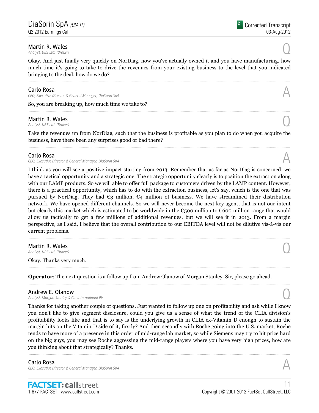# **Martin R. Wales**<br>Analyst, UBS Ltd. (Broker) **Martin R. Wales**  $\bigcirc$  **Q** analyst, UBS Ltd. (Broker)

Okay. And just finally very quickly on NorDiag, now you've actually owned it and you have manufacturing, how much time it's going to take to drive the revenues from your existing business to the level that you indicated bringing to the deal, how do we do?

### Carlo Rosa

CEO, Executive Director & General Manager, DiaSorin SpA

So, you are breaking up, how much time we take to?

# Martin R. Wales **Martin R. Wales**  $\bigcirc$  **Q** analyst, UBS Ltd. (Broker)

Take the revenues up from NorDiag, such that the business is profitable as you plan to do when you acquire the business, have there been any surprises good or bad there?

......................................................................................................................................................................................................................................................

### Carlo Rosa

CEO, Executive Director & General Manager, DiaSorin SpA

I think as you will see a positive impact starting from 2013. Remember that as far as NorDiag is concerned, we have a tactical opportunity and a strategic one. The strategic opportunity clearly is to position the extraction along with our LAMP products. So we will able to offer full package to customers driven by the LAMP content. However, there is a practical opportunity, which has to do with the extraction business, let's say, which is the one that was pursued by NorDiag. They had  $\mathfrak{C}_3$  million,  $\mathfrak{C}_4$  million of business. We have streamlined their distribution network. We have opened different channels. So we will never become the next key agent, that is not our intent but clearly this market which is estimated to be worldwide in the €500 million to €600 million range that would allow us tactically to get a few millions of additional revenues, but we will see it in 2013. From a margin perspective, as I said, I believe that the overall contribution to our EBITDA level will not be dilutive vis-à-vis our current problems.

# **Martin R. Wales**<br>Analyst, UBS Ltd. (Broker) **Martin R. Wales**  $\bigcirc$  **Q**  $\bigcirc$  **Q**  $\bigcirc$  **Q**  $\bigcirc$  **Q**  $\bigcirc$  **Q**  $\bigcirc$  *Analyst, UBS Ltd. (Broker)*  $\bigcirc$

Okay. Thanks very much.

Operator: The next question is a follow up from Andrew Olanow of Morgan Stanley. Sir, please go ahead.

### Andrew E. Olanow

Analyst, Morgan Stanley & Co. International Plc

Thanks for taking another couple of questions. Just wanted to follow up one on profitability and ask while I know you don't like to give segment disclosure, could you give us a sense of what the trend of the CLIA division's profitability looks like and that is to say is the underlying growth in CLIA ex-Vitamin D enough to sustain the margin hits on the Vitamin D side of it, firstly? And then secondly with Roche going into the U.S. market, Roche tends to have more of a presence in this order of mid-range lab market, so while Siemens may try to hit price hard on the big guys, you may see Roche aggressing the mid-range players where you have very high prices, how are you thinking about that strategically? Thanks.

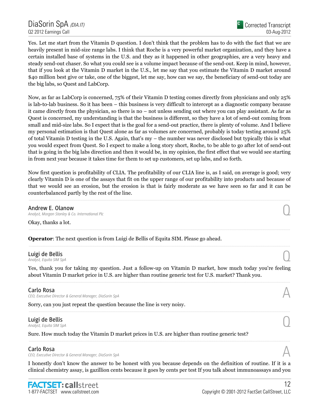Yes. Let me start from the Vitamin D question. I don't think that the problem has to do with the fact that we are heavily present in mid-size range labs. I think that Roche is a very powerful market organization, and they have a certain installed base of systems in the U.S. and they as it happened in other geographies, are a very heavy and steady send-out chaser. So what you could see is a volume impact because of the send-out. Keep in mind, however, that if you look at the Vitamin D market in the U.S., let me say that you estimate the Vitamin D market around \$40 million best give or take, one of the biggest, let me say, how can we say, the beneficiary of send-out today are the big labs, so Quest and LabCorp.

Now, as far as LabCorp is concerned, 75% of their Vitamin D testing comes directly from physicians and only 25% is lab-to-lab business. So it has been – this business is very difficult to intercept as a diagnostic company because it came directly from the physician, so there is no – not unless sending out where you can play assistant. As far as Quest is concerned, my understanding is that the business is different, so they have a lot of send-out coming from small and mid-size labs. So I expect that is the goal for a send-out practice, there is plenty of volume. And I believe my personal estimation is that Quest alone as far as volumes are concerned, probably is today testing around 25% of total Vitamin D testing in the U.S. Again, that's my – the number was never disclosed but typically this is what you would expect from Quest. So I expect to make a long story short, Roche, to be able to go after lot of send-out that is going in the big labs direction and then it would be, in my opinion, the first effect that we would see starting in from next year because it takes time for them to set up customers, set up labs, and so forth.

Now first question is profitability of CLIA. The profitability of our CLIA line is, as I said, on average is good; very clearly Vitamin D is one of the assays that fit on the upper range of our profitability into products and because of that we would see an erosion, but the erosion is that is fairly moderate as we have seen so far and it can be counterbalanced partly by the rest of the line.

**Andrew E. Olanow**<br>Analyst, Morgan Stanley & Co. International Plc Andrew E. Olanow<br>Analyst, Morgan Stanley & Co. International Plc  $\bigcirc$ 

Okay, thanks a lot.

Operator: The next question is from Luigi de Bellis of Equita SIM. Please go ahead.

# Luigi de Bellis **Luigi de Bellis**  $\bigodot$ <br>Analyst, Equita SIM SpA

Yes, thank you for taking my question. Just a follow-up on Vitamin D market, how much today you're feeling about Vitamin D market price in U.S. are higher than routine generic test for U.S. market? Thank you.

### Carlo Rosa

CEO, Executive Director & General Manager, DiaSorin SpA

Sorry, can you just repeat the question because the line is very noisy.

# Luigi de Bellis **Luigi de Bellis**  $\bigodot$ <br>Analyst, Equita SIM SpA

Sure. How much today the Vitamin D market prices in U.S. are higher than routine generic test?

### Carlo Rosa

CEO, Executive Director & General Manager, DiaSorin SpA

I honestly don't know the answer to be honest with you because depends on the definition of routine. If it is a clinical chemistry assay, is gazillion cents because it goes by cents per test If you talk about immunoassays and you

......................................................................................................................................................................................................................................................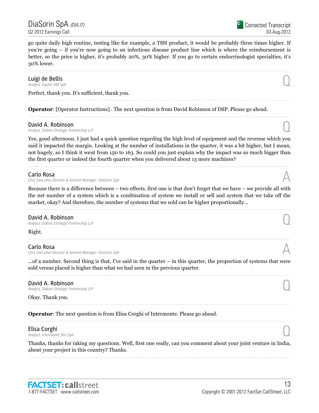DiaSorin SpA <sub>(DIA.IT)</sub> Q2 2012 Earnings Call

Corrected Transcript 03-Aug-2012

go quite daily high routine, testing like for example, a TSH product, it would be probably three times higher. If you're going – if you're now going to an infectious disease product line which is where the reimbursement is better, so the price is higher, it's probably 20%, 30% higher. If you go to certain endocrinologist specialties, it's 30% lower.

# Luigi de Bellis **Luigi de Bellis**  $\bigodot$ <br>Analyst, Equita SIM SpA

Perfect, thank you. It's sufficient, thank you.

Operator: [Operator Instructions] . The next question is from David Robinson of DSP. Please go ahead.

**David A. Robinson**<br>Analyst, Dalton Strategic Partnership LLP David A. Robinson<br>Analyst, Dalton Strategic Partnership LLP Quantum Company of the Strategic Partnership LLP

Yes, good afternoon. I just had a quick question regarding the high level of equipment and the revenue which you said it impacted the margin. Looking at the number of installations in the quarter, it was a bit higher, but I mean, not hugely, so I think it went from 150 to 163. So could you just explain why the impact was so much bigger than the first quarter or indeed the fourth quarter when you delivered about 13 more machines?

#### Carlo Rosa

CEO, Executive Director & General Manager, DiaSorin SpA A

Because there is a difference between – two effects, first one is that don't forget that we have – we provide all with the net number of a system which is a combination of system we install or sell and system that we take off the market, okay? And therefore, the number of systems that we sold can be higher proportionally...

David A. Robinson<br>Analyst, Dalton Strategic Partnership LLP David A. Robinson<br>Analyst, Dalton Strategic Partnership LLP Quantum Company of the Strategic Partnership LLP

Right.

### Carlo Rosa

CEO, Executive Director & General Manager, DiaSorin SpA

...of a number. Second thing is that, I've said in the quarter – in this quarter, the proportion of systems that were sold versus placed is higher than what we had seen in the previous quarter.

David A. Robinson<br>Analyst, Dalton Strategic Partnership LLP David A. Robinson<br>Analyst, Dalton Strategic Partnership LLP Quantum Company of the Strategic Partnership LLP

Okay. Thank you.

Operator: The next question is from Elisa Corghi of Intermonte. Please go ahead.

# **Elisa Corghi**<br>Analyst, Intermonte Sim SpA

**Elisa Corghi**<br>Analyst, Intermonte Sim SpA  $\bigodot$ 

Thanks, thanks for taking my questions. Well, first one really, can you comment about your joint venture in India, about your project in this country? Thanks.

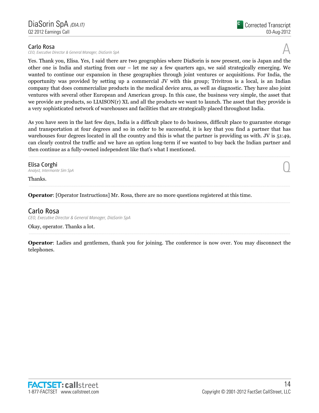### Carlo Rosa

CEO, Executive Director & General Manager, DiaSorin SpA

Yes. Thank you, Elisa. Yes, I said there are two geographies where DiaSorin is now present, one is Japan and the other one is India and starting from our – let me say a few quarters ago, we said strategically emerging. We wanted to continue our expansion in these geographies through joint ventures or acquisitions. For India, the opportunity was provided by setting up a commercial JV with this group; Trivitron is a local, is an Indian company that does commercialize products in the medical device area, as well as diagnostic. They have also joint ventures with several other European and American group. In this case, the business very simple, the asset that we provide are products, so LIAISON(r) XL and all the products we want to launch. The asset that they provide is a very sophisticated network of warehouses and facilities that are strategically placed throughout India.

As you have seen in the last few days, India is a difficult place to do business, difficult place to guarantee storage and transportation at four degrees and so in order to be successful, it is key that you find a partner that has warehouses four degrees located in all the country and this is what the partner is providing us with. JV is 51:49, can clearly control the traffic and we have an option long-term if we wanted to buy back the Indian partner and then continue as a fully-owned independent like that's what I mentioned.

Elisa Corghi<br>Analyst, Intermonte Sim SpA **Elisa Corghi**<br>Analyst, Intermonte Sim SpA  $\bigodot$ 

Thanks.

Operator: [Operator Instructions] Mr. Rosa, there are no more questions registered at this time.

# Carlo Rosa

CEO, Executive Director & General Manager, DiaSorin SpA

Okay, operator. Thanks a lot.

Operator: Ladies and gentlemen, thank you for joining. The conference is now over. You may disconnect the telephones.